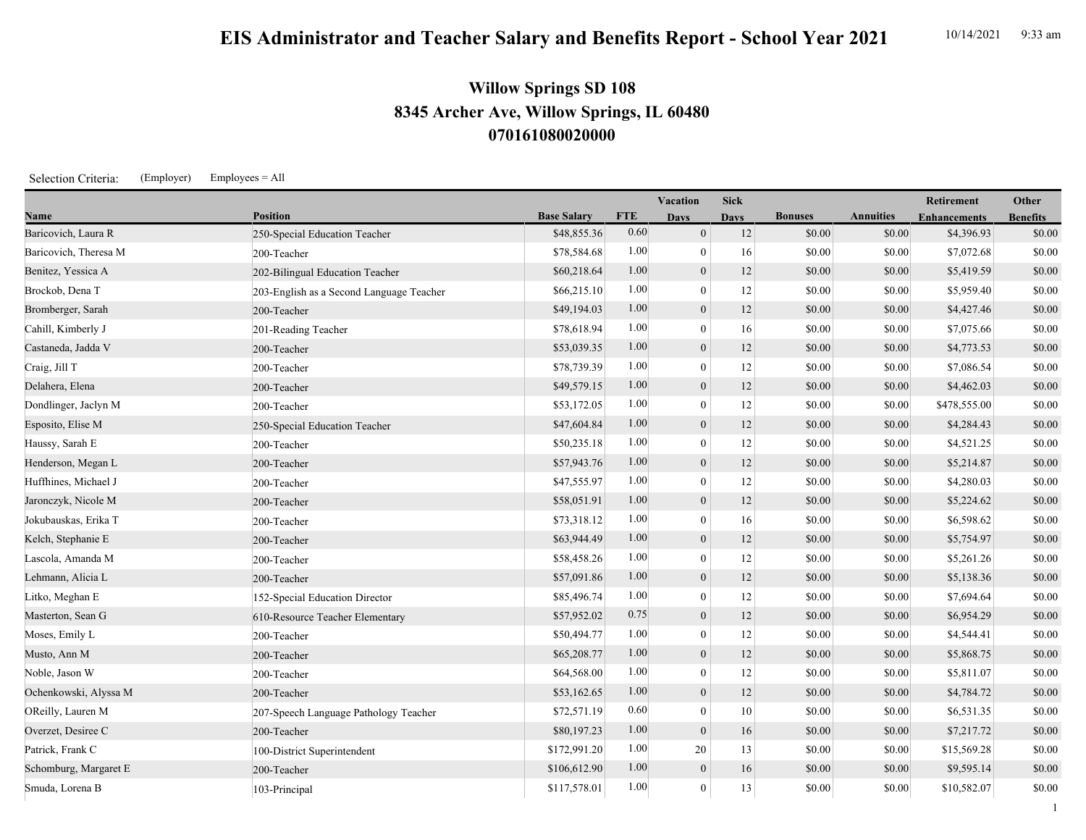## **EIS Administrator and Teacher Salary and Benefits Report - School Year 2021** 10/14/2021 9:33 am

## **070161080020000 8345 Archer Ave, Willow Springs, IL 60480 Willow Springs SD 108**

Selection Criteria: (Employer) Employees = All

|                       |                                          |                    |            | Vacation         | <b>Sick</b> |                |                  | <b>Retirement</b>   | Other           |
|-----------------------|------------------------------------------|--------------------|------------|------------------|-------------|----------------|------------------|---------------------|-----------------|
| Name                  | <b>Position</b>                          | <b>Base Salary</b> | <b>FTE</b> | <b>Days</b>      | <b>Days</b> | <b>Bonuses</b> | <b>Annuities</b> | <b>Enhancements</b> | <b>Benefits</b> |
| Baricovich, Laura R   | 250-Special Education Teacher            | \$48,855.36        | 0.60       | $\mathbf{0}$     | 12          | \$0.00         | \$0.00           | \$4,396.93          | \$0.00          |
| Baricovich, Theresa M | 200-Teacher                              | \$78,584.68        | 1.00       | $\boldsymbol{0}$ | 16          | \$0.00         | \$0.00           | \$7,072.68          | \$0.00          |
| Benitez, Yessica A    | 202-Bilingual Education Teacher          | \$60,218.64        | 1.00       | $\overline{0}$   | 12          | \$0.00         | \$0.00           | \$5,419.59          | \$0.00          |
| Brockob, Dena T       | 203-English as a Second Language Teacher | \$66,215.10        | 1.00       | $\mathbf{0}$     | 12          | \$0.00         | \$0.00           | \$5,959.40          | \$0.00          |
| Bromberger, Sarah     | 200-Teacher                              | \$49,194.03        | 1.00       | $\mathbf{0}$     | 12          | \$0.00         | \$0.00           | \$4,427.46          | \$0.00          |
| Cahill, Kimberly J    | 201-Reading Teacher                      | \$78,618.94        | 1.00       | $\mathbf{0}$     | 16          | \$0.00         | \$0.00           | \$7,075.66          | \$0.00          |
| Castaneda, Jadda V    | 200-Teacher                              | \$53,039.35        | 1.00       | $\mathbf{0}$     | 12          | \$0.00         | \$0.00           | \$4,773.53          | \$0.00          |
| Craig, Jill T         | 200-Teacher                              | \$78,739.39        | 1.00       | $\mathbf{0}$     | 12          | \$0.00         | \$0.00           | \$7,086.54          | \$0.00          |
| Delahera, Elena       | 200-Teacher                              | \$49,579.15        | 1.00       | $\mathbf{0}$     | 12          | \$0.00         | \$0.00           | \$4,462.03          | \$0.00          |
| Dondlinger, Jaclyn M  | 200-Teacher                              | \$53,172.05        | 1.00       | $\mathbf{0}$     | 12          | \$0.00         | \$0.00           | \$478,555.00        | \$0.00          |
| Esposito, Elise M     | 250-Special Education Teacher            | \$47,604.84        | 1.00       | $\mathbf{0}$     | 12          | \$0.00         | \$0.00           | \$4,284.43          | \$0.00          |
| Haussy, Sarah E       | 200-Teacher                              | \$50,235.18        | 1.00       | $\bf{0}$         | 12          | \$0.00         | \$0.00           | \$4,521.25          | \$0.00          |
| Henderson, Megan L    | 200-Teacher                              | \$57,943.76        | 1.00       | $\overline{0}$   | 12          | \$0.00         | \$0.00           | \$5,214.87          | \$0.00          |
| Huffhines, Michael J  | 200-Teacher                              | \$47,555.97        | 1.00       | $\mathbf{0}$     | 12          | \$0.00         | \$0.00           | \$4,280.03          | \$0.00          |
| Jaronczyk, Nicole M   | 200-Teacher                              | \$58,051.91        | 1.00       | $\mathbf{0}$     | 12          | \$0.00         | \$0.00           | \$5,224.62          | \$0.00          |
| Jokubauskas, Erika T  | 200-Teacher                              | \$73,318.12        | 1.00       | $\bf{0}$         | 16          | \$0.00         | \$0.00           | \$6,598.62          | \$0.00          |
| Kelch, Stephanie E    | 200-Teacher                              | \$63,944.49        | 1.00       | $\overline{0}$   | 12          | \$0.00         | \$0.00           | \$5,754.97          | \$0.00          |
| Lascola, Amanda M     | 200-Teacher                              | \$58,458.26        | 1.00       | $\mathbf{0}$     | 12          | \$0.00         | \$0.00           | \$5,261.26          | \$0.00          |
| Lehmann, Alicia L     | 200-Teacher                              | \$57,091.86        | 1.00       | $\mathbf{0}$     | 12          | \$0.00         | \$0.00           | \$5,138.36          | \$0.00          |
| Litko, Meghan E       | 152-Special Education Director           | \$85,496.74        | 1.00       | $\mathbf{0}$     | 12          | \$0.00         | \$0.00           | \$7,694.64          | \$0.00          |
| Masterton, Sean G     | 610-Resource Teacher Elementary          | \$57,952.02        | 0.75       | $\mathbf{0}$     | 12          | \$0.00         | \$0.00           | \$6,954.29          | \$0.00          |
| Moses, Emily L        | 200-Teacher                              | \$50,494.77        | 1.00       | $\mathbf{0}$     | 12          | \$0.00         | \$0.00           | \$4,544.41          | \$0.00          |
| Musto, Ann M          | 200-Teacher                              | \$65,208.77        | 1.00       | $\mathbf{0}$     | 12          | \$0.00         | \$0.00           | \$5,868.75          | \$0.00          |
| Noble, Jason W        | 200-Teacher                              | \$64,568.00        | 1.00       | $\mathbf{0}$     | 12          | \$0.00         | \$0.00           | \$5,811.07          | \$0.00          |
| Ochenkowski, Alyssa M | 200-Teacher                              | \$53,162.65        | 1.00       | $\mathbf{0}$     | 12          | \$0.00         | \$0.00           | \$4,784.72          | \$0.00          |
| OReilly, Lauren M     | 207-Speech Language Pathology Teacher    | \$72,571.19        | 0.60       | $\mathbf{0}$     | 10          | \$0.00         | \$0.00           | \$6,531.35          | \$0.00          |
| Overzet, Desiree C    | 200-Teacher                              | \$80,197.23        | 1.00       | $\boldsymbol{0}$ | 16          | \$0.00         | \$0.00           | \$7,217.72          | \$0.00          |
| Patrick, Frank C      | 100-District Superintendent              | \$172,991.20       | 1.00       | 20               | 13          | \$0.00         | \$0.00           | \$15,569.28         | \$0.00          |
| Schomburg, Margaret E | 200-Teacher                              | \$106,612.90       | 1.00       | $\mathbf{0}$     | 16          | \$0.00         | \$0.00           | \$9,595.14          | \$0.00          |
| Smuda, Lorena B       | 103-Principal                            | \$117,578.01       | 1.00       | $\boldsymbol{0}$ | 13          | \$0.00         | \$0.00           | \$10,582.07         | \$0.00          |

1